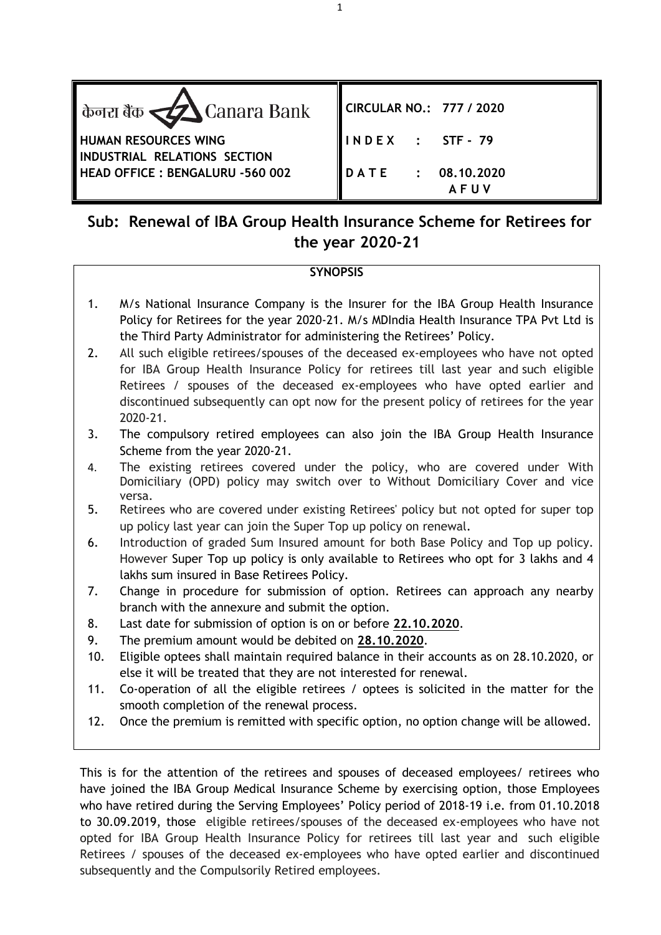| केनरा बैंक $\triangle$ Canara Bank                          | CIRCULAR NO.: 777 / 2020                      |
|-------------------------------------------------------------|-----------------------------------------------|
| <b>HUMAN RESOURCES WING</b><br>INDUSTRIAL RELATIONS SECTION | INDEX : STF-79                                |
| HEAD OFFICE : BENGALURU -560 002                            | $\overline{DATE}$ : 08.10.2020<br><b>AFUV</b> |

# **Sub: Renewal of IBA Group Health Insurance Scheme for Retirees for the year 2020-21**

## **SYNOPSIS**

- 1. M/s National Insurance Company is the Insurer for the IBA Group Health Insurance Policy for Retirees for the year 2020-21. M/s MDIndia Health Insurance TPA Pvt Ltd is the Third Party Administrator for administering the Retirees' Policy.
- 2. All such eligible retirees/spouses of the deceased ex-employees who have not opted for IBA Group Health Insurance Policy for retirees till last year and such eligible Retirees / spouses of the deceased ex-employees who have opted earlier and discontinued subsequently can opt now for the present policy of retirees for the year 2020-21.
- 3. The compulsory retired employees can also join the IBA Group Health Insurance Scheme from the year 2020-21.
- 4. The existing retirees covered under the policy, who are covered under With Domiciliary (OPD) policy may switch over to Without Domiciliary Cover and vice versa.
- 5. Retirees who are covered under existing Retirees' policy but not opted for super top up policy last year can join the Super Top up policy on renewal.
- 6. Introduction of graded Sum Insured amount for both Base Policy and Top up policy. However Super Top up policy is only available to Retirees who opt for 3 lakhs and 4 lakhs sum insured in Base Retirees Policy.
- 7. Change in procedure for submission of option. Retirees can approach any nearby branch with the annexure and submit the option.
- 8. Last date for submission of option is on or before **22.10.2020**.
- 9. The premium amount would be debited on **28.10.2020**.
- 10. Eligible optees shall maintain required balance in their accounts as on 28.10.2020, or else it will be treated that they are not interested for renewal.
- 11. Co-operation of all the eligible retirees / optees is solicited in the matter for the smooth completion of the renewal process.
- 12. Once the premium is remitted with specific option, no option change will be allowed.

This is for the attention of the retirees and spouses of deceased employees/ retirees who have joined the IBA Group Medical Insurance Scheme by exercising option, those Employees who have retired during the Serving Employees' Policy period of 2018-19 i.e. from 01.10.2018 to 30.09.2019, those eligible retirees/spouses of the deceased ex-employees who have not opted for IBA Group Health Insurance Policy for retirees till last year and such eligible Retirees / spouses of the deceased ex-employees who have opted earlier and discontinued subsequently and the Compulsorily Retired employees.

1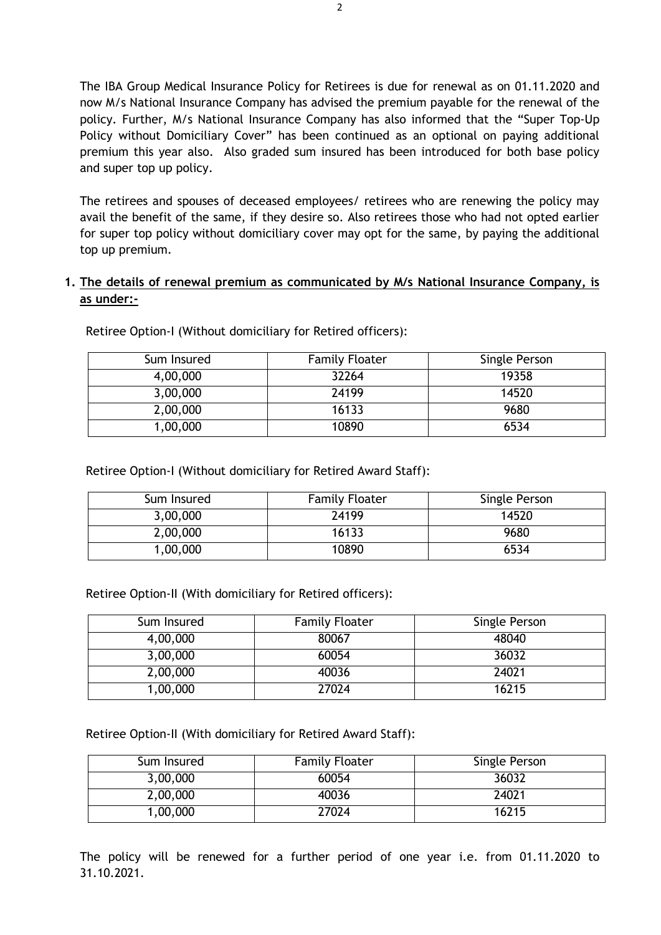The IBA Group Medical Insurance Policy for Retirees is due for renewal as on 01.11.2020 and now M/s National Insurance Company has advised the premium payable for the renewal of the policy. Further, M/s National Insurance Company has also informed that the "Super Top-Up Policy without Domiciliary Cover" has been continued as an optional on paying additional premium this year also. Also graded sum insured has been introduced for both base policy and super top up policy.

The retirees and spouses of deceased employees/ retirees who are renewing the policy may avail the benefit of the same, if they desire so. Also retirees those who had not opted earlier for super top policy without domiciliary cover may opt for the same, by paying the additional top up premium.

## **1. The details of renewal premium as communicated by M/s National Insurance Company, is as under:-**

| Sum Insured | <b>Family Floater</b> | Single Person |
|-------------|-----------------------|---------------|
| 4,00,000    | 32264                 | 19358         |
| 3,00,000    | 24199                 | 14520         |
| 2,00,000    | 16133                 | 9680          |
| 1,00,000    | 10890                 | 6534          |

Retiree Option-I (Without domiciliary for Retired officers):

Retiree Option-I (Without domiciliary for Retired Award Staff):

| Sum Insured | <b>Family Floater</b> | Single Person |
|-------------|-----------------------|---------------|
| 3,00,000    | 24199                 | 14520         |
| 2,00,000    | 16133                 | 9680          |
| 1,00,000    | 10890                 | 6534          |

Retiree Option-II (With domiciliary for Retired officers):

| Sum Insured | <b>Family Floater</b> | Single Person |
|-------------|-----------------------|---------------|
| 4,00,000    | 80067                 | 48040         |
| 3,00,000    | 60054                 | 36032         |
| 2,00,000    | 40036                 | 24021         |
| 1,00,000    | 27024                 | 16215         |

Retiree Option-II (With domiciliary for Retired Award Staff):

| Sum Insured | <b>Family Floater</b> | Single Person |
|-------------|-----------------------|---------------|
| 3,00,000    | 60054                 | 36032         |
| 2,00,000    | 40036                 | 24021         |
| 1,00,000    | 27024                 | 16215         |

The policy will be renewed for a further period of one year i.e. from 01.11.2020 to 31.10.2021.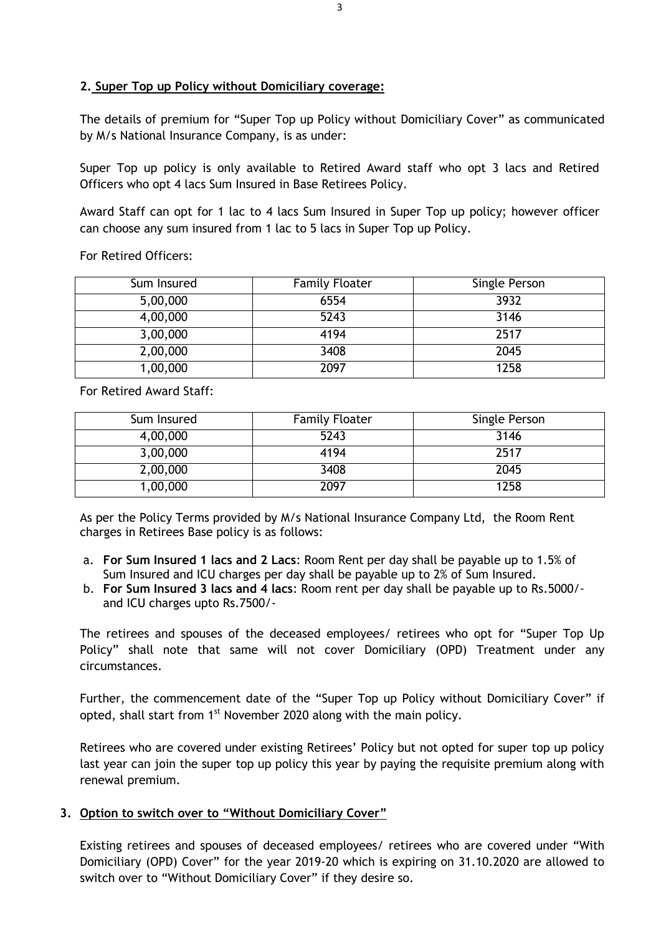### **2. Super Top up Policy without Domiciliary coverage:**

The details of premium for "Super Top up Policy without Domiciliary Cover" as communicated by M/s National Insurance Company, is as under:

Super Top up policy is only available to Retired Award staff who opt 3 lacs and Retired Officers who opt 4 lacs Sum Insured in Base Retirees Policy.

Award Staff can opt for 1 lac to 4 lacs Sum Insured in Super Top up policy; however officer can choose any sum insured from 1 lac to 5 lacs in Super Top up Policy.

For Retired Officers:

| Sum Insured | <b>Family Floater</b> | Single Person |
|-------------|-----------------------|---------------|
| 5,00,000    | 6554                  | 3932          |
| 4,00,000    | 5243                  | 3146          |
| 3,00,000    | 4194                  | 2517          |
| 2,00,000    | 3408                  | 2045          |
| 1,00,000    | 2097                  | 1258          |

For Retired Award Staff:

| Sum Insured | <b>Family Floater</b> | Single Person |
|-------------|-----------------------|---------------|
| 4,00,000    | 5243                  | 3146          |
| 3,00,000    | 4194                  | 2517          |
| 2,00,000    | 3408                  | 2045          |
| 1,00,000    | 2097                  | 1258          |

As per the Policy Terms provided by M/s National Insurance Company Ltd, the Room Rent charges in Retirees Base policy is as follows:

- a. **For Sum Insured 1 lacs and 2 Lacs**: Room Rent per day shall be payable up to 1.5% of Sum Insured and ICU charges per day shall be payable up to 2% of Sum Insured.
- b. **For Sum Insured 3 lacs and 4 lacs**: Room rent per day shall be payable up to Rs.5000/ and ICU charges upto Rs.7500/-

The retirees and spouses of the deceased employees/ retirees who opt for "Super Top Up Policy" shall note that same will not cover Domiciliary (OPD) Treatment under any circumstances.

Further, the commencement date of the "Super Top up Policy without Domiciliary Cover" if opted, shall start from 1<sup>st</sup> November 2020 along with the main policy.

Retirees who are covered under existing Retirees' Policy but not opted for super top up policy last year can join the super top up policy this year by paying the requisite premium along with renewal premium.

#### **3. Option to switch over to "Without Domiciliary Cover"**

Existing retirees and spouses of deceased employees/ retirees who are covered under "With Domiciliary (OPD) Cover" for the year 2019-20 which is expiring on 31.10.2020 are allowed to switch over to "Without Domiciliary Cover" if they desire so.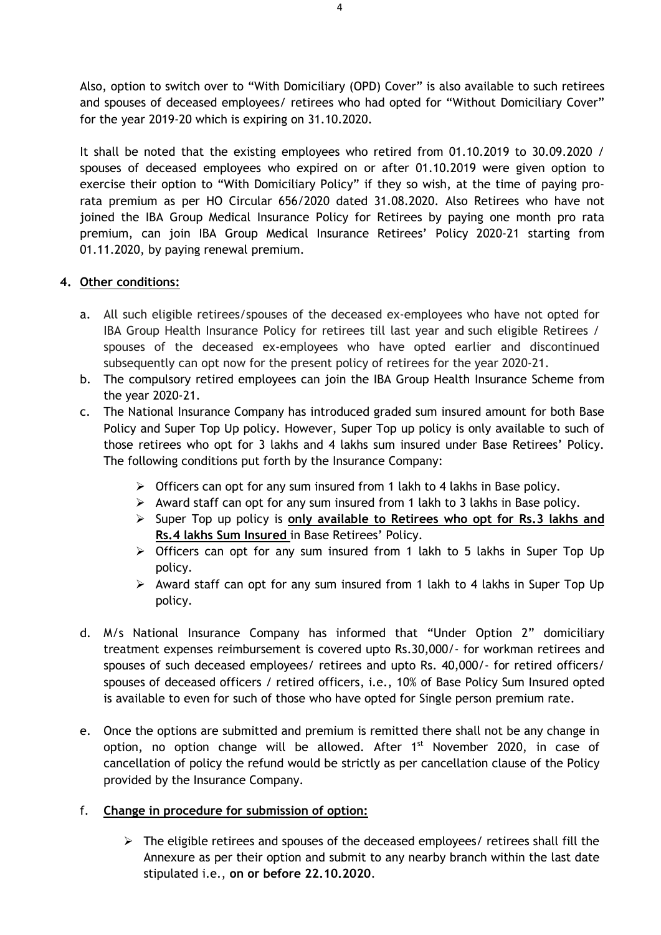Also, option to switch over to "With Domiciliary (OPD) Cover" is also available to such retirees and spouses of deceased employees/ retirees who had opted for "Without Domiciliary Cover" for the year 2019-20 which is expiring on 31.10.2020.

It shall be noted that the existing employees who retired from 01.10.2019 to 30.09.2020 / spouses of deceased employees who expired on or after 01.10.2019 were given option to exercise their option to "With Domiciliary Policy" if they so wish, at the time of paying prorata premium as per HO Circular 656/2020 dated 31.08.2020. Also Retirees who have not joined the IBA Group Medical Insurance Policy for Retirees by paying one month pro rata premium, can join IBA Group Medical Insurance Retirees' Policy 2020-21 starting from 01.11.2020, by paying renewal premium.

## **4. Other conditions:**

- a. All such eligible retirees/spouses of the deceased ex-employees who have not opted for IBA Group Health Insurance Policy for retirees till last year and such eligible Retirees / spouses of the deceased ex-employees who have opted earlier and discontinued subsequently can opt now for the present policy of retirees for the year 2020-21.
- b. The compulsory retired employees can join the IBA Group Health Insurance Scheme from the year 2020-21.
- c. The National Insurance Company has introduced graded sum insured amount for both Base Policy and Super Top Up policy. However, Super Top up policy is only available to such of those retirees who opt for 3 lakhs and 4 lakhs sum insured under Base Retirees' Policy. The following conditions put forth by the Insurance Company:
	- $\triangleright$  Officers can opt for any sum insured from 1 lakh to 4 lakhs in Base policy.
	- $\triangleright$  Award staff can opt for any sum insured from 1 lakh to 3 lakhs in Base policy.
	- Super Top up policy is **only available to Retirees who opt for Rs.3 lakhs and Rs.4 lakhs Sum Insured** in Base Retirees' Policy.
	- > Officers can opt for any sum insured from 1 lakh to 5 lakhs in Super Top Up policy.
	- $\triangleright$  Award staff can opt for any sum insured from 1 lakh to 4 lakhs in Super Top Up policy.
- d. M/s National Insurance Company has informed that "Under Option 2" domiciliary treatment expenses reimbursement is covered upto Rs.30,000/- for workman retirees and spouses of such deceased employees/ retirees and upto Rs. 40,000/- for retired officers/ spouses of deceased officers / retired officers, i.e., 10% of Base Policy Sum Insured opted is available to even for such of those who have opted for Single person premium rate.
- e. Once the options are submitted and premium is remitted there shall not be any change in option, no option change will be allowed. After 1<sup>st</sup> November 2020, in case of cancellation of policy the refund would be strictly as per cancellation clause of the Policy provided by the Insurance Company.
- f. **Change in procedure for submission of option:**
	- $\triangleright$  The eligible retirees and spouses of the deceased employees/ retirees shall fill the Annexure as per their option and submit to any nearby branch within the last date stipulated i.e., **on or before 22.10.2020**.